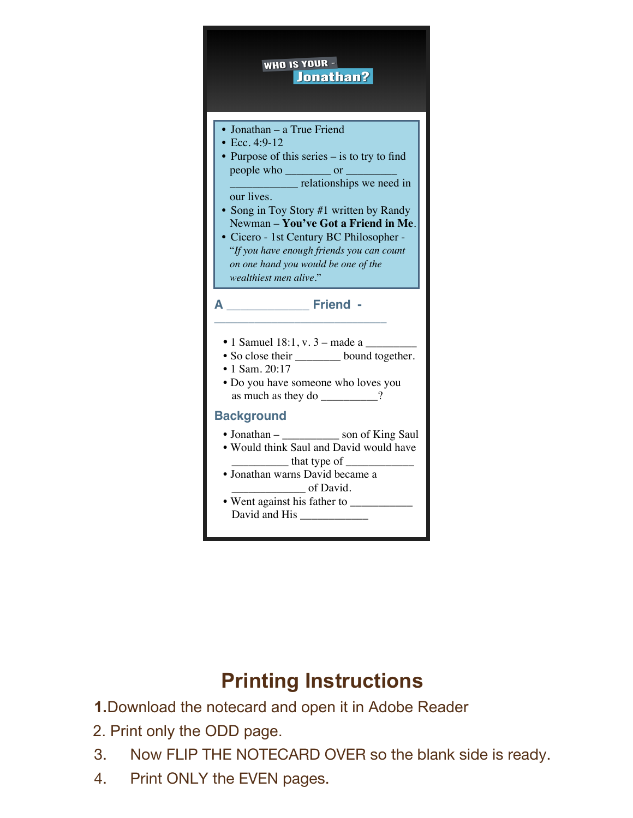

## **Printing Instructions**

**1.**Download the notecard and open it in Adobe Reader

- 2. Print only the ODD page.
- 3. Now FLIP THE NOTECARD OVER so the blank side is ready.
- 4. Print ONLY the EVEN pages.